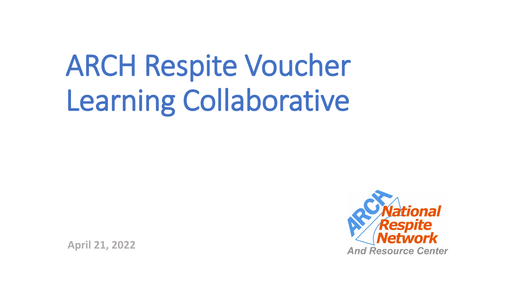# ARCH Respite Voucher Learning Collaborative

**April 21, 2022**

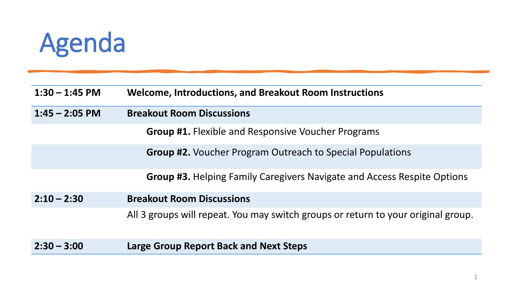## Agenda

| $1:30 - 1:45$ PM | <b>Welcome, Introductions, and Breakout Room Instructions</b>                     |
|------------------|-----------------------------------------------------------------------------------|
| $1:45 - 2:05$ PM | <b>Breakout Room Discussions</b>                                                  |
|                  | <b>Group #1.</b> Flexible and Responsive Voucher Programs                         |
|                  | <b>Group #2.</b> Voucher Program Outreach to Special Populations                  |
|                  | <b>Group #3.</b> Helping Family Caregivers Navigate and Access Respite Options    |
| $2:10 - 2:30$    | <b>Breakout Room Discussions</b>                                                  |
|                  | All 3 groups will repeat. You may switch groups or return to your original group. |
| $2:30 - 3:00$    | <b>Large Group Report Back and Next Steps</b>                                     |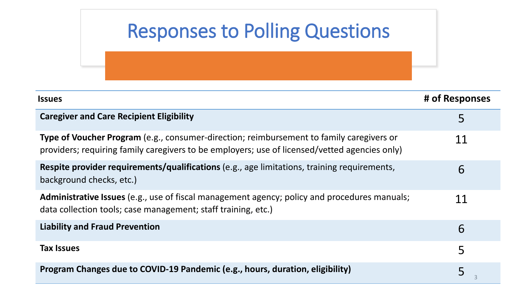| <b>Responses to Polling Questions</b>                                                                                                                                                            |                |
|--------------------------------------------------------------------------------------------------------------------------------------------------------------------------------------------------|----------------|
| <b>Issues</b>                                                                                                                                                                                    | # of Responses |
| <b>Caregiver and Care Recipient Eligibility</b>                                                                                                                                                  | 5              |
| <b>Type of Voucher Program</b> (e.g., consumer-direction; reimbursement to family caregivers or<br>providers; requiring family caregivers to be employers; use of licensed/vetted agencies only) | 11             |
| <b>Respite provider requirements/qualifications</b> (e.g., age limitations, training requirements,<br>background checks, etc.)                                                                   | 6              |
| Administrative Issues (e.g., use of fiscal management agency; policy and procedures manuals;<br>data collection tools; case management; staff training, etc.)                                    | 11             |
| <b>Liability and Fraud Prevention</b>                                                                                                                                                            | 6              |
| <b>Tax Issues</b>                                                                                                                                                                                | 5              |
| Program Changes due to COVID-19 Pandemic (e.g., hours, duration, eligibility)                                                                                                                    | 5              |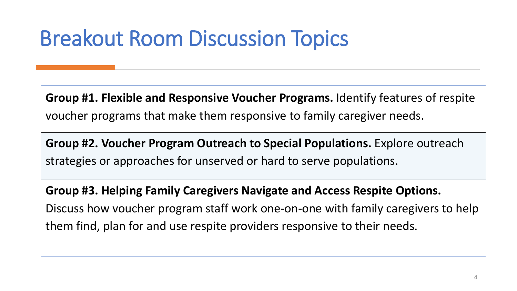### Breakout Room Discussion Topics

**Group #1. Flexible and Responsive Voucher Programs.** Identify features of respite voucher programs that make them responsive to family caregiver needs.

**Group #2. Voucher Program Outreach to Special Populations.** Explore outreach strategies or approaches for unserved or hard to serve populations.

**Group #3. Helping Family Caregivers Navigate and Access Respite Options.**  Discuss how voucher program staff work one-on-one with family caregivers to help them find, plan for and use respite providers responsive to their needs.